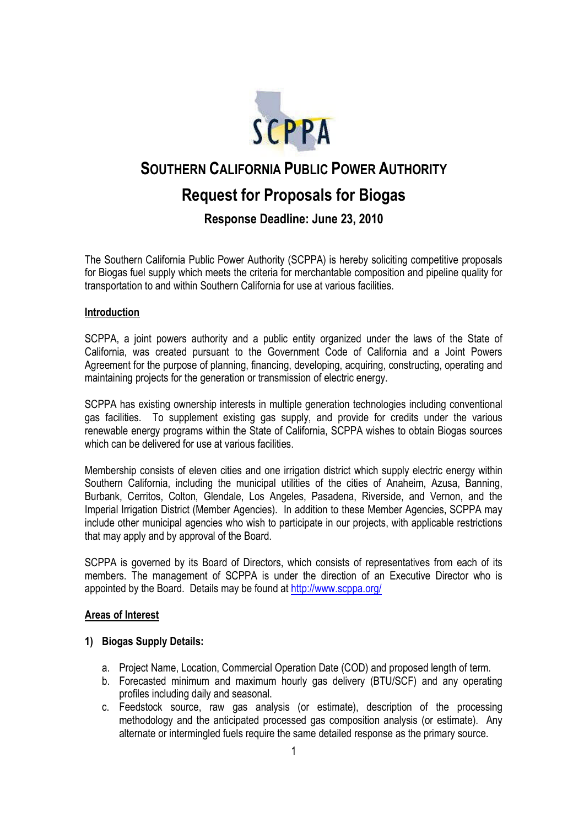

# **SOUTHERN CALIFORNIA PUBLIC POWER AUTHORITY**

# **Request for Proposals for Biogas**

**Response Deadline: June 23, 2010**

The Southern California Public Power Authority (SCPPA) is hereby soliciting competitive proposals for Biogas fuel supply which meets the criteria for merchantable composition and pipeline quality for transportation to and within Southern California for use at various facilities.

# **Introduction**

SCPPA, a joint powers authority and a public entity organized under the laws of the State of California, was created pursuant to the Government Code of California and a Joint Powers Agreement for the purpose of planning, financing, developing, acquiring, constructing, operating and maintaining projects for the generation or transmission of electric energy.

SCPPA has existing ownership interests in multiple generation technologies including conventional gas facilities. To supplement existing gas supply, and provide for credits under the various renewable energy programs within the State of California, SCPPA wishes to obtain Biogas sources which can be delivered for use at various facilities.

Membership consists of eleven cities and one irrigation district which supply electric energy within Southern California, including the municipal utilities of the cities of Anaheim, Azusa, Banning, Burbank, Cerritos, Colton, Glendale, Los Angeles, Pasadena, Riverside, and Vernon, and the Imperial Irrigation District (Member Agencies). In addition to these Member Agencies, SCPPA may include other municipal agencies who wish to participate in our projects, with applicable restrictions that may apply and by approval of the Board.

SCPPA is governed by its Board of Directors, which consists of representatives from each of its members. The management of SCPPA is under the direction of an Executive Director who is appointed by the Board. Details may be found at http://www.scppa.org/

# **Areas of Interest**

# **1) Biogas Supply Details:**

- a. Project Name, Location, Commercial Operation Date (COD) and proposed length of term.
- b. Forecasted minimum and maximum hourly gas delivery (BTU/SCF) and any operating profiles including daily and seasonal.
- c. Feedstock source, raw gas analysis (or estimate), description of the processing methodology and the anticipated processed gas composition analysis (or estimate). Any alternate or intermingled fuels require the same detailed response as the primary source.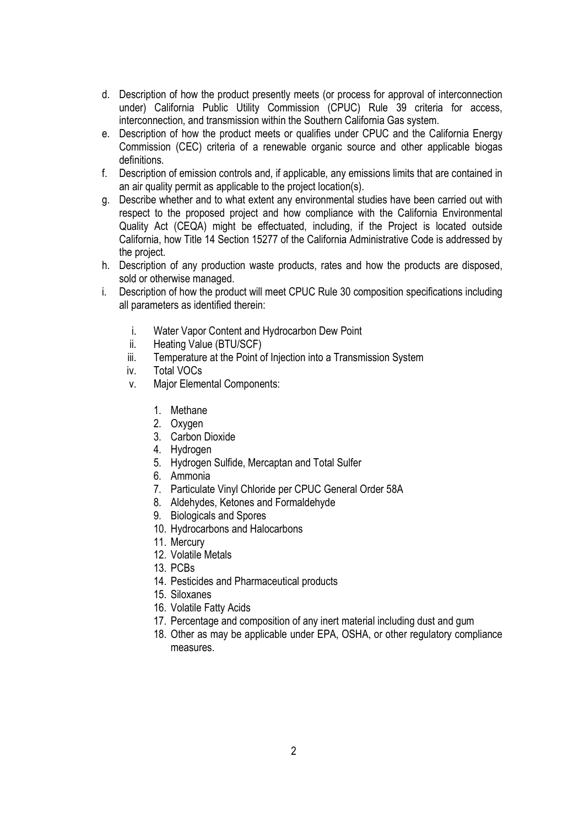- d. Description of how the product presently meets (or process for approval of interconnection under) California Public Utility Commission (CPUC) Rule 39 criteria for access, interconnection, and transmission within the Southern California Gas system.
- e. Description of how the product meets or qualifies under CPUC and the California Energy Commission (CEC) criteria of a renewable organic source and other applicable biogas definitions.
- f. Description of emission controls and, if applicable, any emissions limits that are contained in an air quality permit as applicable to the project location(s).
- g. Describe whether and to what extent any environmental studies have been carried out with respect to the proposed project and how compliance with the California Environmental Quality Act (CEQA) might be effectuated, including, if the Project is located outside California, how Title 14 Section 15277 of the California Administrative Code is addressed by the project.
- h. Description of any production waste products, rates and how the products are disposed, sold or otherwise managed.
- i. Description of how the product will meet CPUC Rule 30 composition specifications including all parameters as identified therein:
	- i. Water Vapor Content and Hydrocarbon Dew Point
	- ii. Heating Value (BTU/SCF)
	- iii. Temperature at the Point of Injection into a Transmission System
	- iv. Total VOCs
	- v. Major Elemental Components:
		- 1. Methane
		- 2. Oxygen
		- 3. Carbon Dioxide
		- 4. Hydrogen
		- 5. Hydrogen Sulfide, Mercaptan and Total Sulfer
		- 6. Ammonia
		- 7. Particulate Vinyl Chloride per CPUC General Order 58A
		- 8. Aldehydes, Ketones and Formaldehyde
		- 9. Biologicals and Spores
		- 10. Hydrocarbons and Halocarbons
		- 11. Mercury
		- 12. Volatile Metals
		- 13. PCBs
		- 14. Pesticides and Pharmaceutical products
		- 15. Siloxanes
		- 16. Volatile Fatty Acids
		- 17. Percentage and composition of any inert material including dust and gum
		- 18. Other as may be applicable under EPA, OSHA, or other regulatory compliance measures.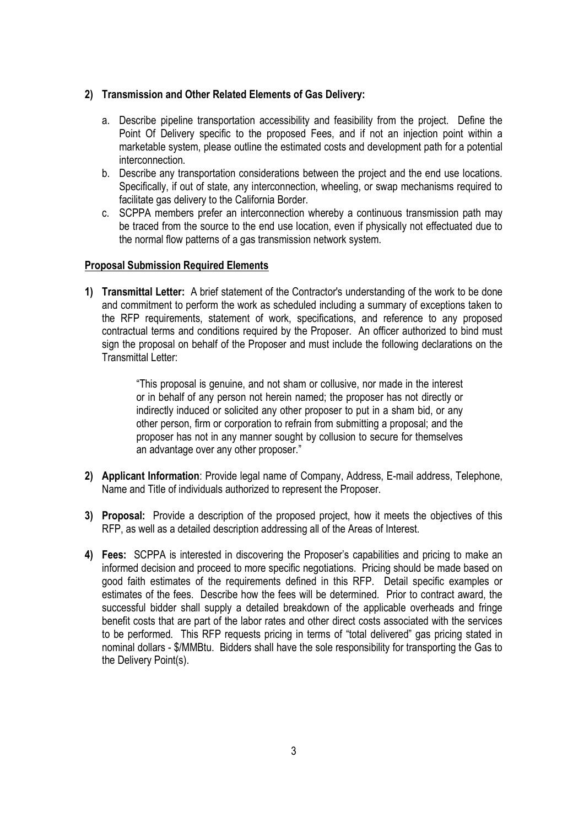# **2) Transmission and Other Related Elements of Gas Delivery:**

- a. Describe pipeline transportation accessibility and feasibility from the project. Define the Point Of Delivery specific to the proposed Fees, and if not an injection point within a marketable system, please outline the estimated costs and development path for a potential interconnection.
- b. Describe any transportation considerations between the project and the end use locations. Specifically, if out of state, any interconnection, wheeling, or swap mechanisms required to facilitate gas delivery to the California Border.
- c. SCPPA members prefer an interconnection whereby a continuous transmission path may be traced from the source to the end use location, even if physically not effectuated due to the normal flow patterns of a gas transmission network system.

# **Proposal Submission Required Elements**

**1) Transmittal Letter:** A brief statement of the Contractor's understanding of the work to be done and commitment to perform the work as scheduled including a summary of exceptions taken to the RFP requirements, statement of work, specifications, and reference to any proposed contractual terms and conditions required by the Proposer. An officer authorized to bind must sign the proposal on behalf of the Proposer and must include the following declarations on the Transmittal Letter:

> "This proposal is genuine, and not sham or collusive, nor made in the interest or in behalf of any person not herein named; the proposer has not directly or indirectly induced or solicited any other proposer to put in a sham bid, or any other person, firm or corporation to refrain from submitting a proposal; and the proposer has not in any manner sought by collusion to secure for themselves an advantage over any other proposer."

- **2) Applicant Information**: Provide legal name of Company, Address, E-mail address, Telephone, Name and Title of individuals authorized to represent the Proposer.
- **3) Proposal:** Provide a description of the proposed project, how it meets the objectives of this RFP, as well as a detailed description addressing all of the Areas of Interest.
- **4) Fees:** SCPPA is interested in discovering the Proposer's capabilities and pricing to make an informed decision and proceed to more specific negotiations. Pricing should be made based on good faith estimates of the requirements defined in this RFP. Detail specific examples or estimates of the fees. Describe how the fees will be determined. Prior to contract award, the successful bidder shall supply a detailed breakdown of the applicable overheads and fringe benefit costs that are part of the labor rates and other direct costs associated with the services to be performed. This RFP requests pricing in terms of "total delivered" gas pricing stated in nominal dollars - \$/MMBtu. Bidders shall have the sole responsibility for transporting the Gas to the Delivery Point(s).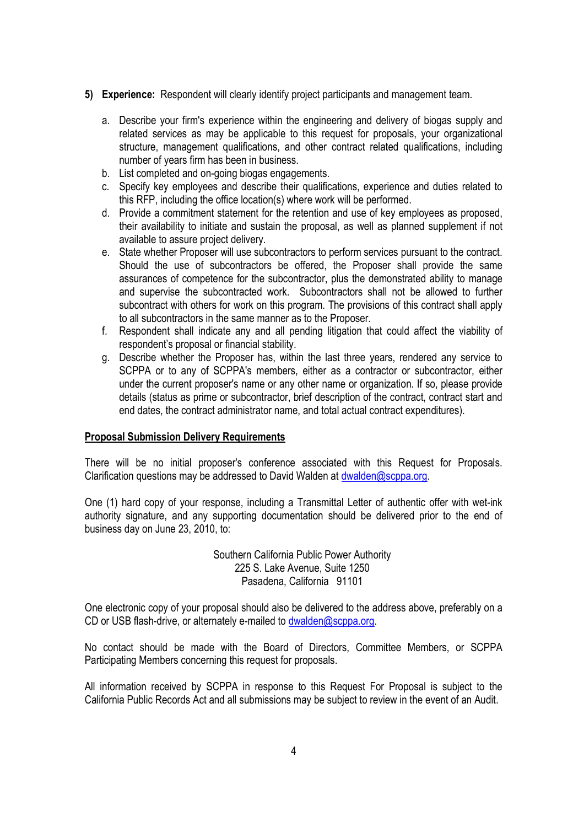- **5) Experience:** Respondent will clearly identify project participants and management team.
	- a. Describe your firm's experience within the engineering and delivery of biogas supply and related services as may be applicable to this request for proposals, your organizational structure, management qualifications, and other contract related qualifications, including number of years firm has been in business.
	- b. List completed and on-going biogas engagements.
	- c. Specify key employees and describe their qualifications, experience and duties related to this RFP, including the office location(s) where work will be performed.
	- d. Provide a commitment statement for the retention and use of key employees as proposed, their availability to initiate and sustain the proposal, as well as planned supplement if not available to assure project delivery.
	- e. State whether Proposer will use subcontractors to perform services pursuant to the contract. Should the use of subcontractors be offered, the Proposer shall provide the same assurances of competence for the subcontractor, plus the demonstrated ability to manage and supervise the subcontracted work. Subcontractors shall not be allowed to further subcontract with others for work on this program. The provisions of this contract shall apply to all subcontractors in the same manner as to the Proposer.
	- f. Respondent shall indicate any and all pending litigation that could affect the viability of respondent's proposal or financial stability.
	- g. Describe whether the Proposer has, within the last three years, rendered any service to SCPPA or to any of SCPPA's members, either as a contractor or subcontractor, either under the current proposer's name or any other name or organization. If so, please provide details (status as prime or subcontractor, brief description of the contract, contract start and end dates, the contract administrator name, and total actual contract expenditures).

#### **Proposal Submission Delivery Requirements**

There will be no initial proposer's conference associated with this Request for Proposals. Clarification questions may be addressed to David Walden at dwalden@scppa.org.

One (1) hard copy of your response, including a Transmittal Letter of authentic offer with wet-ink authority signature, and any supporting documentation should be delivered prior to the end of business day on June 23, 2010, to:

> Southern California Public Power Authority 225 S. Lake Avenue, Suite 1250 Pasadena, California 91101

One electronic copy of your proposal should also be delivered to the address above, preferably on a CD or USB flash-drive, or alternately e-mailed to dwalden@scppa.org.

No contact should be made with the Board of Directors, Committee Members, or SCPPA Participating Members concerning this request for proposals.

All information received by SCPPA in response to this Request For Proposal is subject to the California Public Records Act and all submissions may be subject to review in the event of an Audit.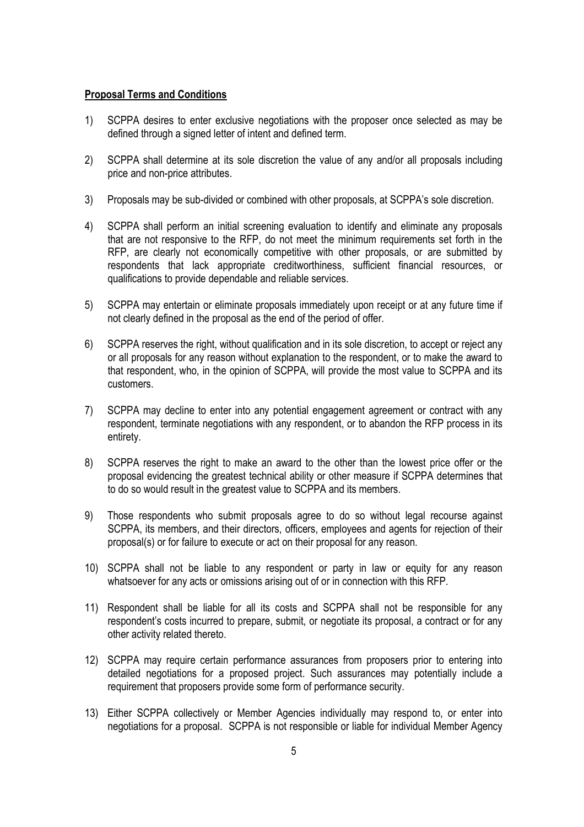#### **Proposal Terms and Conditions**

- 1) SCPPA desires to enter exclusive negotiations with the proposer once selected as may be defined through a signed letter of intent and defined term.
- 2) SCPPA shall determine at its sole discretion the value of any and/or all proposals including price and non-price attributes.
- 3) Proposals may be sub-divided or combined with other proposals, at SCPPA's sole discretion.
- 4) SCPPA shall perform an initial screening evaluation to identify and eliminate any proposals that are not responsive to the RFP, do not meet the minimum requirements set forth in the RFP, are clearly not economically competitive with other proposals, or are submitted by respondents that lack appropriate creditworthiness, sufficient financial resources, or qualifications to provide dependable and reliable services.
- 5) SCPPA may entertain or eliminate proposals immediately upon receipt or at any future time if not clearly defined in the proposal as the end of the period of offer.
- 6) SCPPA reserves the right, without qualification and in its sole discretion, to accept or reject any or all proposals for any reason without explanation to the respondent, or to make the award to that respondent, who, in the opinion of SCPPA, will provide the most value to SCPPA and its customers.
- 7) SCPPA may decline to enter into any potential engagement agreement or contract with any respondent, terminate negotiations with any respondent, or to abandon the RFP process in its entirety.
- 8) SCPPA reserves the right to make an award to the other than the lowest price offer or the proposal evidencing the greatest technical ability or other measure if SCPPA determines that to do so would result in the greatest value to SCPPA and its members.
- 9) Those respondents who submit proposals agree to do so without legal recourse against SCPPA, its members, and their directors, officers, employees and agents for rejection of their proposal(s) or for failure to execute or act on their proposal for any reason.
- 10) SCPPA shall not be liable to any respondent or party in law or equity for any reason whatsoever for any acts or omissions arising out of or in connection with this RFP.
- 11) Respondent shall be liable for all its costs and SCPPA shall not be responsible for any respondent's costs incurred to prepare, submit, or negotiate its proposal, a contract or for any other activity related thereto.
- 12) SCPPA may require certain performance assurances from proposers prior to entering into detailed negotiations for a proposed project. Such assurances may potentially include a requirement that proposers provide some form of performance security.
- 13) Either SCPPA collectively or Member Agencies individually may respond to, or enter into negotiations for a proposal. SCPPA is not responsible or liable for individual Member Agency